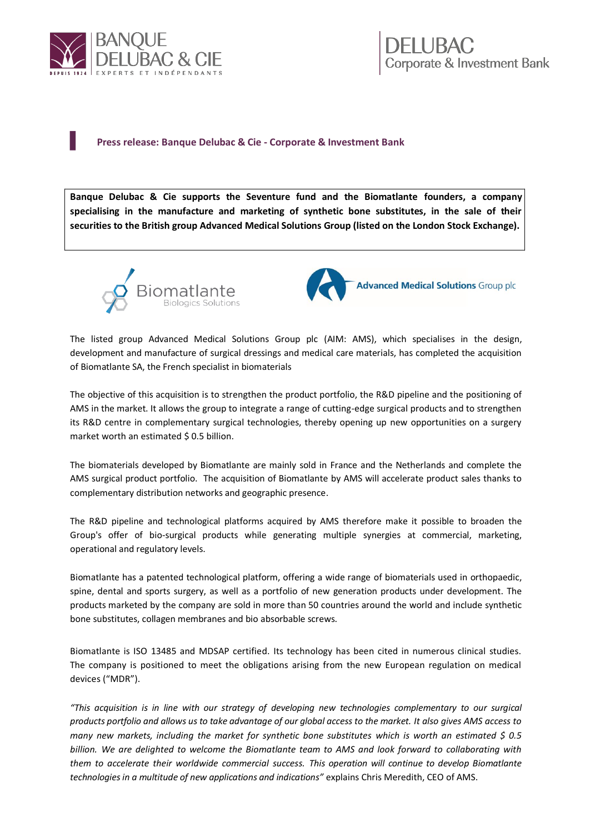



# ▌ **Press release: Banque Delubac & Cie - Corporate & Investment Bank**

**Banque Delubac & Cie supports the Seventure fund and the Biomatlante founders, a company specialising in the manufacture and marketing of synthetic bone substitutes, in the sale of their securities to the British group Advanced Medical Solutions Group (listed on the London Stock Exchange).**





The listed group Advanced Medical Solutions Group plc (AIM: AMS), which specialises in the design, development and manufacture of surgical dressings and medical care materials, has completed the acquisition of Biomatlante SA, the French specialist in biomaterials

The objective of this acquisition is to strengthen the product portfolio, the R&D pipeline and the positioning of AMS in the market. It allows the group to integrate a range of cutting-edge surgical products and to strengthen its R&D centre in complementary surgical technologies, thereby opening up new opportunities on a surgery market worth an estimated \$ 0.5 billion.

The biomaterials developed by Biomatlante are mainly sold in France and the Netherlands and complete the AMS surgical product portfolio. The acquisition of Biomatlante by AMS will accelerate product sales thanks to complementary distribution networks and geographic presence.

The R&D pipeline and technological platforms acquired by AMS therefore make it possible to broaden the Group's offer of bio-surgical products while generating multiple synergies at commercial, marketing, operational and regulatory levels.

Biomatlante has a patented technological platform, offering a wide range of biomaterials used in orthopaedic, spine, dental and sports surgery, as well as a portfolio of new generation products under development. The products marketed by the company are sold in more than 50 countries around the world and include synthetic bone substitutes, collagen membranes and bio absorbable screws.

Biomatlante is ISO 13485 and MDSAP certified. Its technology has been cited in numerous clinical studies. The company is positioned to meet the obligations arising from the new European regulation on medical devices ("MDR").

*"This acquisition is in line with our strategy of developing new technologies complementary to our surgical products portfolio and allows us to take advantage of our global access to the market. It also gives AMS access to many new markets, including the market for synthetic bone substitutes which is worth an estimated \$ 0.5 billion. We are delighted to welcome the Biomatlante team to AMS and look forward to collaborating with them to accelerate their worldwide commercial success. This operation will continue to develop Biomatlante technologies in a multitude of new applications and indications"* explains Chris Meredith, CEO of AMS.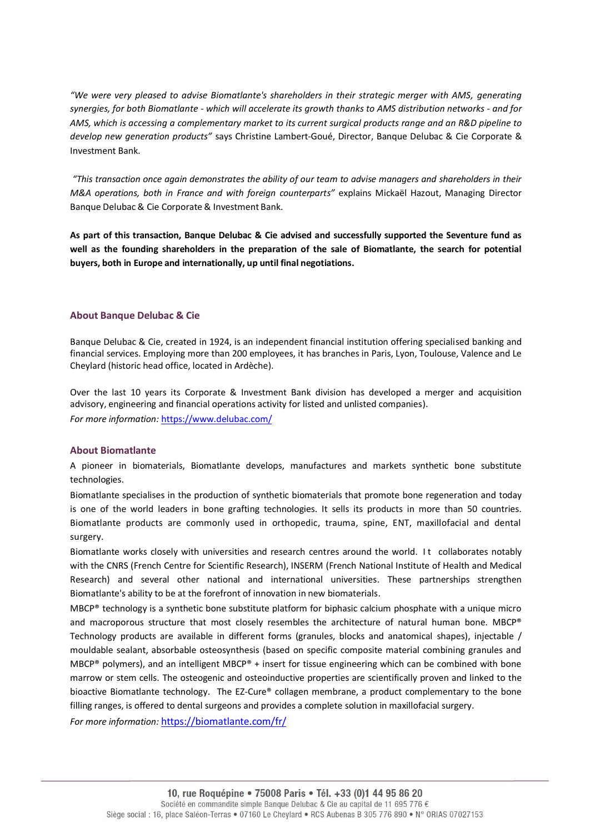*"We were very pleased to advise Biomatlante's shareholders in their strategic merger with AMS, generating synergies, for both Biomatlante - which will accelerate its growth thanks to AMS distribution networks - and for AMS, which is accessing a complementary market to its current surgical products range and an R&D pipeline to develop new generation products"* says Christine Lambert-Goué, Director, Banque Delubac & Cie Corporate & Investment Bank.

*"This transaction once again demonstrates the ability of our team to advise managers and shareholders in their M&A operations, both in France and with foreign counterparts"* explains Mickaël Hazout, Managing Director Banque Delubac & Cie Corporate& Investment Bank.

**As part of this transaction, Banque Delubac & Cie advised and successfully supported the Seventure fund as well as the founding shareholders in the preparation of the sale of Biomatlante, the search for potential buyers, both in Europe and internationally, up until final negotiations.**

## **About Banque Delubac & Cie**

Banque Delubac & Cie, created in 1924, is an independent financial institution offering specialised banking and financial services. Employing more than 200 employees, it has branches in Paris, Lyon, Toulouse, Valence and Le Cheylard (historic head office, located in Ardèche).

Over the last 10 years its Corporate & Investment Bank division has developed a merger and acquisition advisory, engineering and financial operations activity for listed and unlisted companies). *For more information:* <https://www.delubac.com/>

#### **About Biomatlante**

A pioneer in biomaterials, Biomatlante develops, manufactures and markets synthetic bone substitute technologies.

Biomatlante specialises in the production of synthetic biomaterials that promote bone regeneration and today is one of the world leaders in bone grafting technologies. It sells its products in more than 50 countries. Biomatlante products are commonly used in orthopedic, trauma, spine, ENT, maxillofacial and dental surgery.

Biomatlante works closely with universities and research centres around the world. I t collaborates notably with the CNRS (French Centre for Scientific Research), INSERM (French National Institute of Health and Medical Research) and several other national and international universities. These partnerships strengthen Biomatlante's ability to be at the forefront of innovation in new biomaterials.

MBCP® technology is a synthetic bone substitute platform for biphasic calcium phosphate with a unique micro and macroporous structure that most closely resembles the architecture of natural human bone. MBCP® Technology products are available in different forms (granules, blocks and anatomical shapes), injectable / mouldable sealant, absorbable osteosynthesis (based on specific composite material combining granules and MBCP® polymers), and an intelligent MBCP® + insert for tissue engineering which can be combined with bone marrow or stem cells. The osteogenic and osteoinductive properties are scientifically proven and linked to the bioactive Biomatlante technology. The EZ-Cure® collagen membrane, a product complementary to the bone filling ranges, is offered to dental surgeons and provides a complete solution in maxillofacial surgery.

*For more information:* <https://biomatlante.com/fr/>